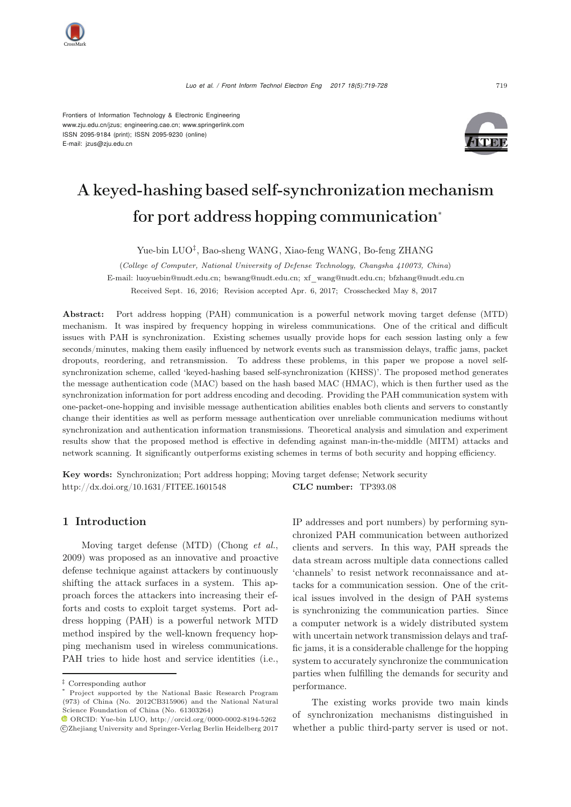

Frontiers of Information Technology & Electronic Engineering www.zju.edu.cn/jzus; engineering.cae.cn; www.springerlink.com ISSN 2095-9184 (print); ISSN 2095-9230 (online) E-mail: jzus@zju.edu.cn



# A keyed-hashing based self-synchronization mechanism for port address hopping communication<sup>∗</sup>

Yue-bin LUO*‡*, Bao-sheng WANG, Xiao-feng WANG, Bo-feng ZHANG

(*College of Computer, National University of Defense Technology, Changsha 410073, China*) E-mail: luoyuebin@nudt.edu.cn; bswang@nudt.edu.cn; xf\_wang@nudt.edu.cn; bfzhang@nudt.edu.cn Received Sept. 16, 2016; Revision accepted Apr. 6, 2017; Crosschecked May 8, 2017

Abstract: Port address hopping (PAH) communication is a powerful network moving target defense (MTD) mechanism. It was inspired by frequency hopping in wireless communications. One of the critical and difficult issues with PAH is synchronization. Existing schemes usually provide hops for each session lasting only a few seconds/minutes, making them easily influenced by network events such as transmission delays, traffic jams, packet dropouts, reordering, and retransmission. To address these problems, in this paper we propose a novel selfsynchronization scheme, called 'keyed-hashing based self-synchronization (KHSS)'. The proposed method generates the message authentication code (MAC) based on the hash based MAC (HMAC), which is then further used as the synchronization information for port address encoding and decoding. Providing the PAH communication system with one-packet-one-hopping and invisible message authentication abilities enables both clients and servers to constantly change their identities as well as perform message authentication over unreliable communication mediums without synchronization and authentication information transmissions. Theoretical analysis and simulation and experiment results show that the proposed method is effective in defending against man-in-the-middle (MITM) attacks and network scanning. It significantly outperforms existing schemes in terms of both security and hopping efficiency.

Key words: Synchronization; Port address hopping; Moving target defense; Network security http://dx.doi.org/10.1631/FITEE.1601548 **CLC number:** TP393.08

# <span id="page-0-0"></span>1 Introduction

Moving target defense (MTD) [\(Chong](#page-9-0) *et al.*, [2009](#page-9-0)) was proposed as an innovative and proactive defense technique against attackers by continuously shifting the attack surfaces in a system. This approach forces the attackers into increasing their efforts and costs to exploit target systems. Port address hopping (PAH) is a powerful network MTD method inspired by the well-known frequency hopping mechanism used in wireless communications. PAH tries to hide host and service identities (i.e.,

IP addresses and port numbers) by performing synchronized PAH communication between authorized clients and servers. In this way, PAH spreads the data stream across multiple data connections called 'channels' to resist network reconnaissance and attacks for a communication session. One of the critical issues involved in the design of PAH systems is synchronizing the communication parties. Since a computer network is a widely distributed system with uncertain network transmission delays and traffic jams, it is a considerable challenge for the hopping system to accurately synchronize the communication parties when fulfilling the demands for security and performance.

The existing works provide two main kinds of synchronization mechanisms distinguished in whether a public third-party server is used or not.

*<sup>‡</sup>* Corresponding author

Project supported by the National Basic Research Program (973) of China (No. 2012CB315906) and the National Natural Science Foundation of China (No. 61303264)

 $\textcolor{blue}{\bullet}$  ORCID: Yue-bin LUO, http://orcid.org/0000-0002-8194-5262 c Zhejiang University and Springer-Verlag Berlin Heidelberg 2017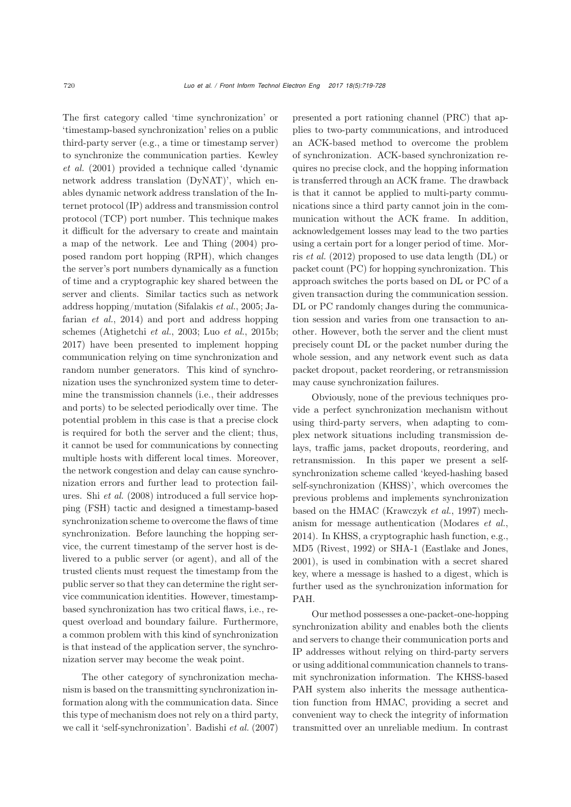The first category called 'time synchronization' or 'timestamp-based synchronization' relies on a public third-party server (e.g., a time or timestamp server) to sy[nchronize](#page-9-1) [the](#page-9-1) [communication](#page-9-1) [parties.](#page-9-1) Kewley *et al.* [\(2001](#page-9-1)) provided a technique called 'dynamic network address translation (DyNAT)', which enables dynamic network address translation of the Internet protocol (IP) address and transmission control protocol (TCP) port number. This technique makes it difficult for the adversary to create and maintain a map of the network. [Lee and Thing](#page-9-2) [\(2004\)](#page-9-2) proposed random port hopping (RPH), which changes the server's port numbers dynamically as a function of time and a cryptographic key shared between the server and clients. Similar tactics such as network address hop[ping/mutation](#page-9-4) [\(Sifalakis](#page-9-3) *et al.*, [2005;](#page-9-3) Jafarian *et al.*, [2014\)](#page-9-4) and port and address hopping schemes [\(Atighetchi](#page-9-5) *et al.*, [2003;](#page-9-5) Luo *[et al.](#page-9-6)*, [2015b;](#page-9-6) [2017](#page-9-7)) have been presented to implement hopping communication relying on time synchronization and random number generators. This kind of synchronization uses the synchronized system time to determine the transmission channels (i.e., their addresses and ports) to be selected periodically over time. The potential problem in this case is that a precise clock is required for both the server and the client; thus, it cannot be used for communications by connecting multiple hosts with different local times. Moreover, the network congestion and delay can cause synchronization errors and further lead to protection failures. Shi *[et al.](#page-9-8)* [\(2008](#page-9-8)) introduced a full service hopping (FSH) tactic and designed a timestamp-based synchronization scheme to overcome the flaws of time synchronization. Before launching the hopping service, the current timestamp of the server host is delivered to a public server (or agent), and all of the trusted clients must request the timestamp from the public server so that they can determine the right service communication identities. However, timestampbased synchronization has two critical flaws, i.e., request overload and boundary failure. Furthermore, a common problem with this kind of synchronization is that instead of the application server, the synchronization server may become the weak point.

The other category of synchronization mechanism is based on the transmitting synchronization information along with the communication data. Since this type of mechanism does not rely on a third party, we call it 'self-synchronization'. [Badishi](#page-9-9) *et al.* [\(2007](#page-9-9)) presented a port rationing channel (PRC) that applies to two-party communications, and introduced an ACK-based method to overcome the problem of synchronization. ACK-based synchronization requires no precise clock, and the hopping information is transferred through an ACK frame. The drawback is that it cannot be applied to multi-party communications since a third party cannot join in the communication without the ACK frame. In addition, acknowledgement losses may lead to the two parties using a [certain](#page-9-10) [port](#page-9-10) [for](#page-9-10) [a](#page-9-10) [longer](#page-9-10) [period](#page-9-10) [of](#page-9-10) [time.](#page-9-10) Morris *et al.* [\(2012](#page-9-10)) proposed to use data length (DL) or packet count (PC) for hopping synchronization. This approach switches the ports based on DL or PC of a given transaction during the communication session. DL or PC randomly changes during the communication session and varies from one transaction to another. However, both the server and the client must precisely count DL or the packet number during the whole session, and any network event such as data packet dropout, packet reordering, or retransmission may cause synchronization failures.

Obviously, none of the previous techniques provide a perfect synchronization mechanism without using third-party servers, when adapting to complex network situations including transmission delays, traffic jams, packet dropouts, reordering, and retransmission. In this paper we present a selfsynchronization scheme called 'keyed-hashing based self-synchronization (KHSS)', which overcomes the previous problems and implements synchronization based on the HMAC [\(Krawczyk](#page-9-11) *et al.*, [1997](#page-9-11)) mechanism for message authentication [\(Modares](#page-9-12) *et al.*, [2014](#page-9-12)). In KHSS, a cryptographic hash function, e.g., MD5 [\(Rivest, 1992\)](#page-9-13) or SHA-1 [\(Eastlake and Jones](#page-9-14), [2001](#page-9-14)), is used in combination with a secret shared key, where a message is hashed to a digest, which is further used as the synchronization information for PAH.

Our method possesses a one-packet-one-hopping synchronization ability and enables both the clients and servers to change their communication ports and IP addresses without relying on third-party servers or using additional communication channels to transmit synchronization information. The KHSS-based PAH system also inherits the message authentication function from HMAC, providing a secret and convenient way to check the integrity of information transmitted over an unreliable medium. In contrast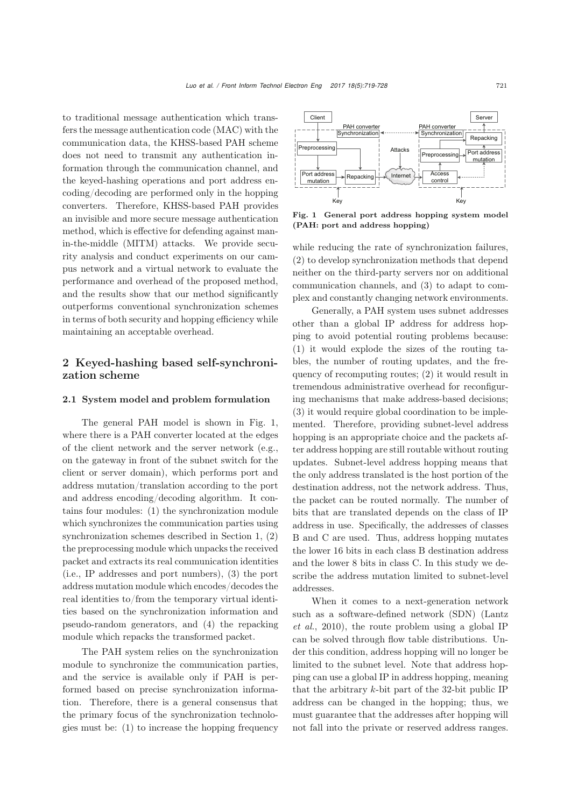to traditional message authentication which transfers the message authentication code (MAC) with the communication data, the KHSS-based PAH scheme does not need to transmit any authentication information through the communication channel, and the keyed-hashing operations and port address encoding/decoding are performed only in the hopping converters. Therefore, KHSS-based PAH provides an invisible and more secure message authentication method, which is effective for defending against manin-the-middle (MITM) attacks. We provide security analysis and conduct experiments on our campus network and a virtual network to evaluate the performance and overhead of the proposed method, and the results show that our method significantly outperforms conventional synchronization schemes in terms of both security and hopping efficiency while maintaining an acceptable overhead.

# 2 Keyed-hashing based self-synchronization scheme

#### 2.1 System model and problem formulation

The general PAH model is shown in Fig. [1,](#page-2-0) where there is a PAH converter located at the edges of the client network and the server network (e.g., on the gateway in front of the subnet switch for the client or server domain), which performs port and address mutation/translation according to the port and address encoding/decoding algorithm. It contains four modules: (1) the synchronization module which synchronizes the communication parties using synchronization schemes described in Section [1,](#page-0-0) (2) the preprocessing module which unpacks the received packet and extracts its real communication identities (i.e., IP addresses and port numbers), (3) the port address mutation module which encodes/decodes the real identities to/from the temporary virtual identities based on the synchronization information and pseudo-random generators, and (4) the repacking module which repacks the transformed packet.

The PAH system relies on the synchronization module to synchronize the communication parties, and the service is available only if PAH is performed based on precise synchronization information. Therefore, there is a general consensus that the primary focus of the synchronization technologies must be: (1) to increase the hopping frequency



<span id="page-2-0"></span>Fig. 1 General port address hopping system model (PAH: port and address hopping)

while reducing the rate of synchronization failures, (2) to develop synchronization methods that depend neither on the third-party servers nor on additional communication channels, and (3) to adapt to complex and constantly changing network environments.

Generally, a PAH system uses subnet addresses other than a global IP address for address hopping to avoid potential routing problems because: (1) it would explode the sizes of the routing tables, the number of routing updates, and the frequency of recomputing routes; (2) it would result in tremendous administrative overhead for reconfiguring mechanisms that make address-based decisions; (3) it would require global coordination to be implemented. Therefore, providing subnet-level address hopping is an appropriate choice and the packets after address hopping are still routable without routing updates. Subnet-level address hopping means that the only address translated is the host portion of the destination address, not the network address. Thus, the packet can be routed normally. The number of bits that are translated depends on the class of IP address in use. Specifically, the addresses of classes B and C are used. Thus, address hopping mutates the lower 16 bits in each class B destination address and the lower 8 bits in class C. In this study we describe the address mutation limited to subnet-level addresses.

When it comes to a next-generation network such [as](#page-9-15) [a](#page-9-15) [software-defined](#page-9-15) [network](#page-9-15) [\(SDN\)](#page-9-15) [\(](#page-9-15)Lantz *et al.*, [2010\)](#page-9-15), the route problem using a global IP can be solved through flow table distributions. Under this condition, address hopping will no longer be limited to the subnet level. Note that address hopping can use a global IP in address hopping, meaning that the arbitrary *k*-bit part of the 32-bit public IP address can be changed in the hopping; thus, we must guarantee that the addresses after hopping will not fall into the private or reserved address ranges.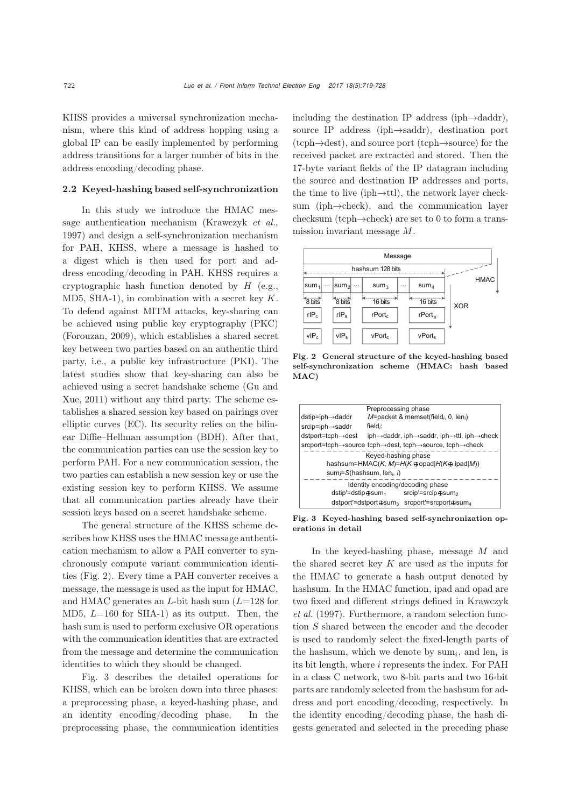KHSS provides a universal synchronization mechanism, where this kind of address hopping using a global IP can be easily implemented by performing address transitions for a larger number of bits in the address encoding/decoding phase.

### 2.2 Keyed-hashing based self-synchronization

In this study we introduce the HMAC message authentication mechanism [\(Krawczyk](#page-9-11) *et al.*, [1997](#page-9-11)) and design a self-synchronization mechanism for PAH, KHSS, where a message is hashed to a digest which is then used for port and address encoding/decoding in PAH. KHSS requires a cryptographic hash function denoted by *H* (e.g., MD5, SHA-1), in combination with a secret key *K*. To defend against MITM attacks, key-sharing can be achieved using public key cryptography (PKC) [\(Forouzan](#page-9-16), [2009\)](#page-9-16), which establishes a shared secret key between two parties based on an authentic third party, i.e., a public key infrastructure (PKI). The latest studies show that key-sharing can also be achi[eved](#page-9-17) [using](#page-9-17) [a](#page-9-17) [secret](#page-9-17) [handshake](#page-9-17) [scheme](#page-9-17) [\(](#page-9-17)Gu and Xue, [2011\)](#page-9-17) without any third party. The scheme establishes a shared session key based on pairings over elliptic curves (EC). Its security relies on the bilinear Diffie–Hellman assumption (BDH). After that, the communication parties can use the session key to perform PAH. For a new communication session, the two parties can establish a new session key or use the existing session key to perform KHSS. We assume that all communication parties already have their session keys based on a secret handshake scheme.

The general structure of the KHSS scheme describes how KHSS uses the HMAC message authentication mechanism to allow a PAH converter to synchronously compute variant communication identities (Fig. [2\)](#page-3-0). Every time a PAH converter receives a message, the message is used as the input for HMAC, and HMAC generates an *L*-bit hash sum (*L*=128 for MD5, *L*=160 for SHA-1) as its output. Then, the hash sum is used to perform exclusive OR operations with the communication identities that are extracted from the message and determine the communication identities to which they should be changed.

Fig. [3](#page-3-1) describes the detailed operations for KHSS, which can be broken down into three phases: a preprocessing phase, a keyed-hashing phase, and an identity encoding/decoding phase. In the preprocessing phase, the communication identities

including the destination IP address (iph→daddr), source IP address (iph→saddr), destination port (tcph→dest), and source port (tcph→source) for the received packet are extracted and stored. Then the 17-byte variant fields of the IP datagram including the source and destination IP addresses and ports, the time to live (iph→ttl), the network layer checksum (iph→check), and the communication layer checksum (tcph→check) are set to 0 to form a transmission invariant message *M*.



<span id="page-3-0"></span>Fig. 2 General structure of the keyed-hashing based self-synchronization scheme (HMAC: hash based  $MAC$ 



<span id="page-3-1"></span>Fig. 3 Keyed-hashing based self-synchronization operations in detail

In the keyed-hashing phase, message *M* and the shared secret key *K* are used as the inputs for the HMAC to generate a hash output denoted by hashsum. In the HMAC function, ipad and opad are two [fixed](#page-9-11) [and](#page-9-11) [different](#page-9-11) [strings](#page-9-11) [defined](#page-9-11) [in](#page-9-11) Krawczyk *et al.* [\(1997\)](#page-9-11). Furthermore, a random selection function *S* shared between the encoder and the decoder is used to randomly select the fixed-length parts of the hashsum, which we denote by  $sum_i$ , and len<sub>i</sub> is its bit length, where *i* represents the index. For PAH in a class C network, two 8-bit parts and two 16-bit parts are randomly selected from the hashsum for address and port encoding/decoding, respectively. In the identity encoding/decoding phase, the hash digests generated and selected in the preceding phase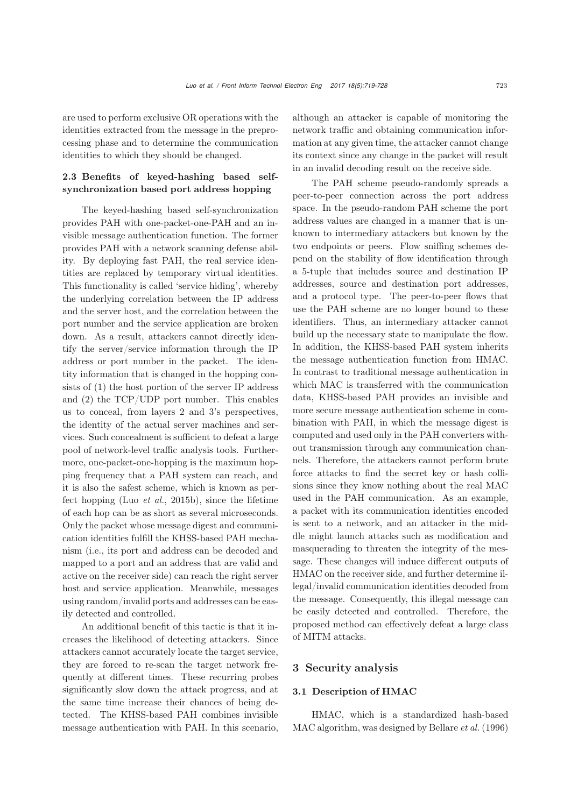are used to perform exclusive OR operations with the identities extracted from the message in the preprocessing phase and to determine the communication identities to which they should be changed.

# 2.3 Benefits of keyed-hashing based selfsynchronization based port address hopping

The keyed-hashing based self-synchronization provides PAH with one-packet-one-PAH and an invisible message authentication function. The former provides PAH with a network scanning defense ability. By deploying fast PAH, the real service identities are replaced by temporary virtual identities. This functionality is called 'service hiding', whereby the underlying correlation between the IP address and the server host, and the correlation between the port number and the service application are broken down. As a result, attackers cannot directly identify the server/service information through the IP address or port number in the packet. The identity information that is changed in the hopping consists of (1) the host portion of the server IP address and (2) the TCP/UDP port number. This enables us to conceal, from layers 2 and 3's perspectives, the identity of the actual server machines and services. Such concealment is sufficient to defeat a large pool of network-level traffic analysis tools. Furthermore, one-packet-one-hopping is the maximum hopping frequency that a PAH system can reach, and it is also the safest scheme, which is known as perfect hopping (Luo *[et al.](#page-9-6)*, [2015b\)](#page-9-6), since the lifetime of each hop can be as short as several microseconds. Only the packet whose message digest and communication identities fulfill the KHSS-based PAH mechanism (i.e., its port and address can be decoded and mapped to a port and an address that are valid and active on the receiver side) can reach the right server host and service application. Meanwhile, messages using random/invalid ports and addresses can be easily detected and controlled.

An additional benefit of this tactic is that it increases the likelihood of detecting attackers. Since attackers cannot accurately locate the target service, they are forced to re-scan the target network frequently at different times. These recurring probes significantly slow down the attack progress, and at the same time increase their chances of being detected. The KHSS-based PAH combines invisible message authentication with PAH. In this scenario,

although an attacker is capable of monitoring the network traffic and obtaining communication information at any given time, the attacker cannot change its context since any change in the packet will result in an invalid decoding result on the receive side.

The PAH scheme pseudo-randomly spreads a peer-to-peer connection across the port address space. In the pseudo-random PAH scheme the port address values are changed in a manner that is unknown to intermediary attackers but known by the two endpoints or peers. Flow sniffing schemes depend on the stability of flow identification through a 5-tuple that includes source and destination IP addresses, source and destination port addresses, and a protocol type. The peer-to-peer flows that use the PAH scheme are no longer bound to these identifiers. Thus, an intermediary attacker cannot build up the necessary state to manipulate the flow. In addition, the KHSS-based PAH system inherits the message authentication function from HMAC. In contrast to traditional message authentication in which MAC is transferred with the communication data, KHSS-based PAH provides an invisible and more secure message authentication scheme in combination with PAH, in which the message digest is computed and used only in the PAH converters without transmission through any communication channels. Therefore, the attackers cannot perform brute force attacks to find the secret key or hash collisions since they know nothing about the real MAC used in the PAH communication. As an example, a packet with its communication identities encoded is sent to a network, and an attacker in the middle might launch attacks such as modification and masquerading to threaten the integrity of the message. These changes will induce different outputs of HMAC on the receiver side, and further determine illegal/invalid communication identities decoded from the message. Consequently, this illegal message can be easily detected and controlled. Therefore, the proposed method can effectively defeat a large class of MITM attacks.

## 3 Security analysis

### 3.1 Description of HMAC

HMAC, which is a standardized hash-based MAC algorithm, was designed by [Bellare](#page-9-18) *et al.* [\(1996](#page-9-18))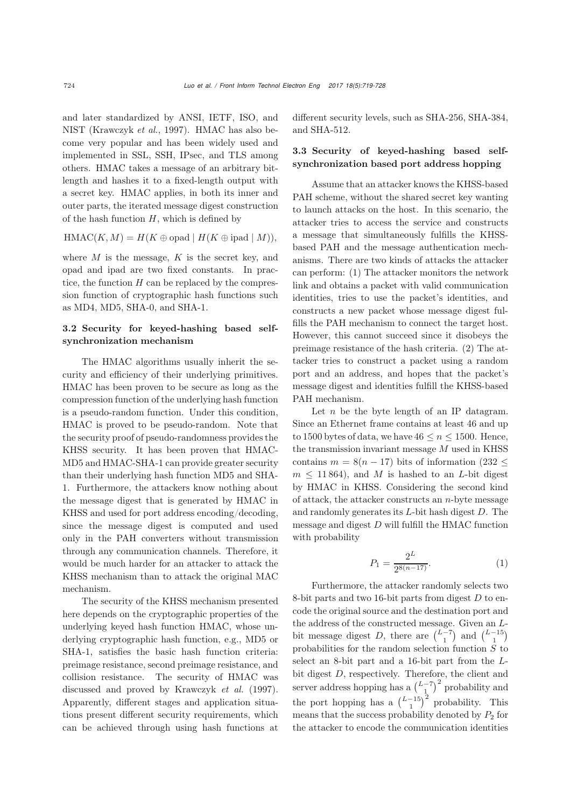and later standardized by ANSI, IETF, ISO, and NIST [\(Krawczyk](#page-9-11) *et al.*, [1997](#page-9-11)). HMAC has also become very popular and has been widely used and implemented in SSL, SSH, IPsec, and TLS among others. HMAC takes a message of an arbitrary bitlength and hashes it to a fixed-length output with a secret key. HMAC applies, in both its inner and outer parts, the iterated message digest construction of the hash function *H*, which is defined by

$$
\operatorname{HMAC}(K,M) = H(K \oplus \operatorname{opad} \mid H(K \oplus \operatorname{ipad} \mid M)),
$$

where *M* is the message, *K* is the secret key, and opad and ipad are two fixed constants. In practice, the function *H* can be replaced by the compression function of cryptographic hash functions such as MD4, MD5, SHA-0, and SHA-1.

## 3.2 Security for keyed-hashing based selfsynchronization mechanism

The HMAC algorithms usually inherit the security and efficiency of their underlying primitives. HMAC has been proven to be secure as long as the compression function of the underlying hash function is a pseudo-random function. Under this condition, HMAC is proved to be pseudo-random. Note that the security proof of pseudo-randomness provides the KHSS security. It has been proven that HMAC-MD5 and HMAC-SHA-1 can provide greater security than their underlying hash function MD5 and SHA-1. Furthermore, the attackers know nothing about the message digest that is generated by HMAC in KHSS and used for port address encoding/decoding, since the message digest is computed and used only in the PAH converters without transmission through any communication channels. Therefore, it would be much harder for an attacker to attack the KHSS mechanism than to attack the original MAC mechanism.

The security of the KHSS mechanism presented here depends on the cryptographic properties of the underlying keyed hash function HMAC, whose underlying cryptographic hash function, e.g., MD5 or SHA-1, satisfies the basic hash function criteria: preimage resistance, second preimage resistance, and collision resistance. The security of HMAC was discussed and proved by [Krawczyk](#page-9-11) *et al.* [\(1997\)](#page-9-11). Apparently, different stages and application situations present different security requirements, which can be achieved through using hash functions at different security levels, such as SHA-256, SHA-384, and SHA-512.

## 3.3 Security of keyed-hashing based selfsynchronization based port address hopping

Assume that an attacker knows the KHSS-based PAH scheme, without the shared secret key wanting to launch attacks on the host. In this scenario, the attacker tries to access the service and constructs a message that simultaneously fulfills the KHSSbased PAH and the message authentication mechanisms. There are two kinds of attacks the attacker can perform: (1) The attacker monitors the network link and obtains a packet with valid communication identities, tries to use the packet's identities, and constructs a new packet whose message digest fulfills the PAH mechanism to connect the target host. However, this cannot succeed since it disobeys the preimage resistance of the hash criteria. (2) The attacker tries to construct a packet using a random port and an address, and hopes that the packet's message digest and identities fulfill the KHSS-based PAH mechanism.

Let *n* be the byte length of an IP datagram. Since an Ethernet frame contains at least 46 and up to 1500 bytes of data, we have  $46 \le n \le 1500$ . Hence, the transmission invariant message *M* used in KHSS contains  $m = 8(n - 17)$  bits of information (232  $\leq$  $m \leq 11864$ , and *M* is hashed to an *L*-bit digest by HMAC in KHSS. Considering the second kind of attack, the attacker constructs an *n*-byte message and randomly generates its *L*-bit hash digest *D*. The message and digest *D* will fulfill the HMAC function with probability

$$
P_1 = \frac{2^L}{2^{8(n-17)}}.\t(1)
$$

Furthermore, the attacker randomly selects two 8-bit parts and two 16-bit parts from digest *D* to encode the original source and the destination port and the address of the constructed message. Given an *L*bit message digest *D*, there are  $\binom{L-7}{1}$  and  $\binom{L-15}{1}$ probabilities for the random selection function *S* to select an 8-bit part and a 16-bit part from the *L*bit digest *D*, respectively. Therefore, the client and server address hopping has a  $\binom{L-7}{1}^2$  probability and the port hopping has a  $\binom{L-15}{1}^2$  probability. This means that the success probability denoted by  $P_2$  for the attacker to encode the communication identities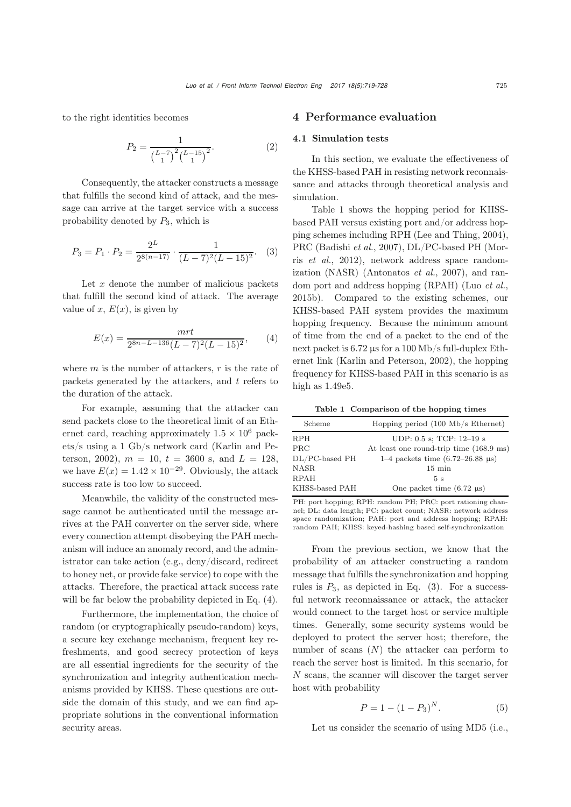to the right identities becomes

$$
P_2 = \frac{1}{\left(\frac{L-7}{1}\right)^2 \left(\frac{L-15}{1}\right)^2}.
$$
 (2)

Consequently, the attacker constructs a message that fulfills the second kind of attack, and the message can arrive at the target service with a success probability denoted by *P*3, which is

<span id="page-6-2"></span>
$$
P_3 = P_1 \cdot P_2 = \frac{2^L}{2^{8(n-17)}} \cdot \frac{1}{(L-7)^2 (L-15)^2}.
$$
 (3)

Let *x* denote the number of malicious packets that fulfill the second kind of attack. The average value of  $x, E(x)$ , is given by

<span id="page-6-0"></span>
$$
E(x) = \frac{mrt}{2^{8n - L - 136}(L - 7)^2(L - 15)^2},\qquad(4)
$$

where *m* is the number of attackers, *r* is the rate of packets generated by the attackers, and *t* refers to the duration of the attack.

For example, assuming that the attacker can send packets close to the theoretical limit of an Ethernet card, reaching approximately  $1.5 \times 10^6$  packets/s [using](#page-9-19) [a](#page-9-19) [1](#page-9-19) [Gb/s](#page-9-19) [network](#page-9-19) [card](#page-9-19) [\(](#page-9-19)Karlin and Pe-terson, [2002](#page-9-19)),  $m = 10$ ,  $t = 3600$  s, and  $L = 128$ , we have  $E(x) = 1.42 \times 10^{-29}$ . Obviously, the attack success rate is too low to succeed.

Meanwhile, the validity of the constructed message cannot be authenticated until the message arrives at the PAH converter on the server side, where every connection attempt disobeying the PAH mechanism will induce an anomaly record, and the administrator can take action (e.g., deny/discard, redirect to honey net, or provide fake service) to cope with the attacks. Therefore, the practical attack success rate will be far below the probability depicted in Eq. [\(4\)](#page-6-0).

Furthermore, the implementation, the choice of random (or cryptographically pseudo-random) keys, a secure key exchange mechanism, frequent key refreshments, and good secrecy protection of keys are all essential ingredients for the security of the synchronization and integrity authentication mechanisms provided by KHSS. These questions are outside the domain of this study, and we can find appropriate solutions in the conventional information security areas.

## 4 Performance evaluation

### 4.1 Simulation tests

In this section, we evaluate the effectiveness of the KHSS-based PAH in resisting network reconnaissance and attacks through theoretical analysis and simulation.

Table [1](#page-6-1) shows the hopping period for KHSSbased PAH versus existing port and/or address hopping schemes including RPH [\(Lee and Thing](#page-9-2), [2004\)](#page-9-2), PRC [\(Badishi](#page-9-9) *et al.*[,](#page-9-10) [2007](#page-9-9)[\),](#page-9-10) [DL/PC-based](#page-9-10) [PH](#page-9-10) [\(](#page-9-10)Morris *et al.*, [2012\)](#page-9-10), network address space randomization (NASR) [\(Antonatos](#page-9-20) *et al.*, [2007](#page-9-20)), and random port and address hopping (RPAH) (Luo *[et al.](#page-9-6)*, [2015b\)](#page-9-6). Compared to the existing schemes, our KHSS-based PAH system provides the maximum hopping frequency. Because the minimum amount of time from the end of a packet to the end of the next packet is 6.72 µs for a 100 Mb/s full-duplex Ethernet link [\(Karlin and Peterson](#page-9-19), [2002](#page-9-19)), the hopping frequency for KHSS-based PAH in this scenario is as high as 1*.*49e5.

<span id="page-6-1"></span>Table 1 Comparison of the hopping times

| Scheme         | Hopping period $(100 \text{ Mb/s Ethernet})$        |
|----------------|-----------------------------------------------------|
| RPH            | UDP: $0.5$ s; TCP: $12-19$ s                        |
| PRC            | At least one round-trip time (168.9 ms)             |
| DL/PC-based PH | 1–4 packets time $(6.72-26.88 \text{ }\mu\text{s})$ |
| <b>NASR</b>    | $15 \text{ min}$                                    |
| <b>RPAH</b>    | 5s                                                  |
| KHSS-based PAH | One packet time $(6.72 \text{ }\mu\text{s})$        |

PH: port hopping; RPH: random PH; PRC: port rationing channel; DL: data length; PC: packet count; NASR: network address space randomization; PAH: port and address hopping; RPAH: random PAH; KHSS: keyed-hashing based self-synchronization

From the previous section, we know that the probability of an attacker constructing a random message that fulfills the synchronization and hopping rules is  $P_3$ , as depicted in Eq.  $(3)$ . For a successful network reconnaissance or attack, the attacker would connect to the target host or service multiple times. Generally, some security systems would be deployed to protect the server host; therefore, the number of scans (*N*) the attacker can perform to reach the server host is limited. In this scenario, for *N* scans, the scanner will discover the target server host with probability

$$
P = 1 - (1 - P_3)^N. \tag{5}
$$

Let us consider the scenario of using MD5 (i.e.,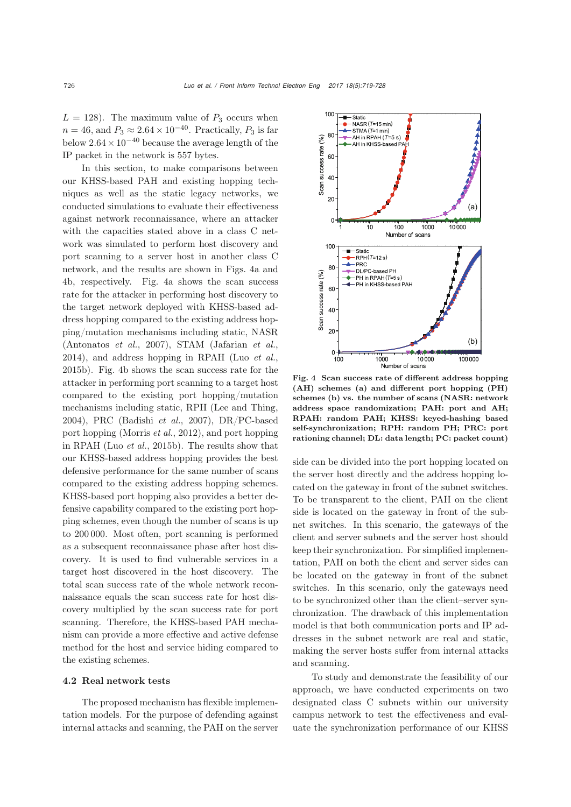$L = 128$ ). The maximum value of  $P_3$  occurs when  $n = 46$ , and  $P_3 \approx 2.64 \times 10^{-40}$ . Practically,  $P_3$  is far below <sup>2</sup>*.*64×10*−*<sup>40</sup> because the average length of the IP packet in the network is 557 bytes.

In this section, to make comparisons between our KHSS-based PAH and existing hopping techniques as well as the static legacy networks, we conducted simulations to evaluate their effectiveness against network reconnaissance, where an attacker with the capacities stated above in a class C network was simulated to perform host discovery and port scanning to a server host in another class C network, and the results are shown in Figs. [4a](#page-7-0) and [4b](#page-7-0), respectively. Fig. [4a](#page-7-0) shows the scan success rate for the attacker in performing host discovery to the target network deployed with KHSS-based address hopping compared to the existing address hopping/mutation mechanisms including static, NASR [\(Antonatos](#page-9-20) *et al.*, [2007](#page-9-20)), STAM [\(Jafarian](#page-9-4) *et al.*, [2014](#page-9-4)), and address hopping in RPAH (Luo *[et al.](#page-9-6)*, [2015b\)](#page-9-6). Fig. [4b](#page-7-0) shows the scan success rate for the attacker in performing port scanning to a target host compared to the existing port hopping/mutation mechanisms including static, RPH [\(Lee and Thing](#page-9-2), [2004](#page-9-2)), PRC [\(Badishi](#page-9-9) *et al.*, [2007\)](#page-9-9), DR/PC-based port hopping [\(Morris](#page-9-10) *et al.*, [2012](#page-9-10)), and port hopping in RPAH (Luo *[et al.](#page-9-6)*, [2015b\)](#page-9-6). The results show that our KHSS-based address hopping provides the best defensive performance for the same number of scans compared to the existing address hopping schemes. KHSS-based port hopping also provides a better defensive capability compared to the existing port hopping schemes, even though the number of scans is up to 200 000. Most often, port scanning is performed as a subsequent reconnaissance phase after host discovery. It is used to find vulnerable services in a target host discovered in the host discovery. The total scan success rate of the whole network reconnaissance equals the scan success rate for host discovery multiplied by the scan success rate for port scanning. Therefore, the KHSS-based PAH mechanism can provide a more effective and active defense method for the host and service hiding compared to the existing schemes.

#### 4.2 Real network tests

The proposed mechanism has flexible implementation models. For the purpose of defending against internal attacks and scanning, the PAH on the server



<span id="page-7-0"></span>Fig. 4 Scan success rate of different address hopping (AH) schemes (a) and different port hopping (PH) schemes (b) vs. the number of scans (NASR: network address space randomization; PAH: port and AH; RPAH: random PAH; KHSS: keyed-hashing based self-synchronization; RPH: random PH; PRC: port rationing channel; DL: data length; PC: packet count)

side can be divided into the port hopping located on the server host directly and the address hopping located on the gateway in front of the subnet switches. To be transparent to the client, PAH on the client side is located on the gateway in front of the subnet switches. In this scenario, the gateways of the client and server subnets and the server host should keep their synchronization. For simplified implementation, PAH on both the client and server sides can be located on the gateway in front of the subnet switches. In this scenario, only the gateways need to be synchronized other than the client–server synchronization. The drawback of this implementation model is that both communication ports and IP addresses in the subnet network are real and static, making the server hosts suffer from internal attacks and scanning.

To study and demonstrate the feasibility of our approach, we have conducted experiments on two designated class C subnets within our university campus network to test the effectiveness and evaluate the synchronization performance of our KHSS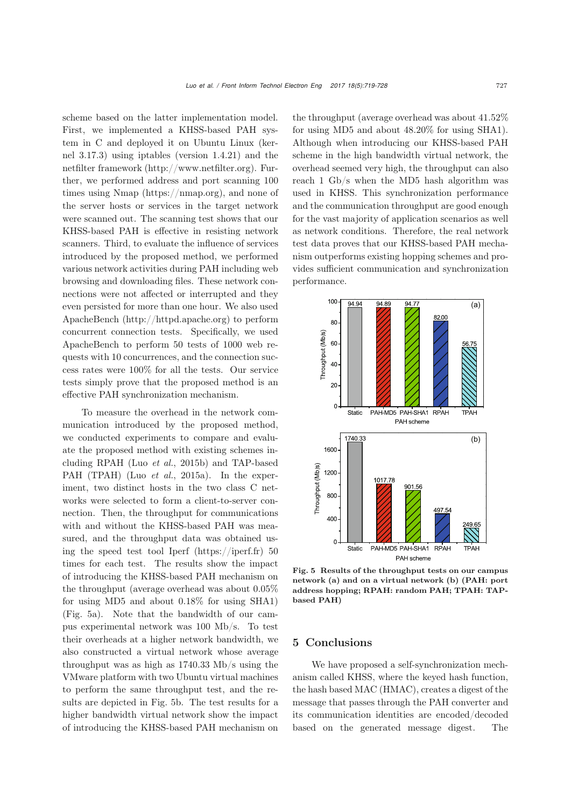scheme based on the latter implementation model. First, we implemented a KHSS-based PAH system in C and deployed it on Ubuntu Linux (kernel 3.17.3) using iptables (version 1.4.21) and the netfilter framework (http://www.netfilter.org). Further, we performed address and port scanning 100 times using Nmap (https://nmap.org), and none of the server hosts or services in the target network were scanned out. The scanning test shows that our KHSS-based PAH is effective in resisting network scanners. Third, to evaluate the influence of services introduced by the proposed method, we performed various network activities during PAH including web browsing and downloading files. These network connections were not affected or interrupted and they even persisted for more than one hour. We also used ApacheBench (http://httpd.apache.org) to perform concurrent connection tests. Specifically, we used ApacheBench to perform 50 tests of 1000 web requests with 10 concurrences, and the connection success rates were 100% for all the tests. Our service tests simply prove that the proposed method is an effective PAH synchronization mechanism.

To measure the overhead in the network communication introduced by the proposed method, we conducted experiments to compare and evaluate the proposed method with existing schemes including RPAH (Luo *[et al.](#page-9-6)*, [2015b\)](#page-9-6) and TAP-based PAH (TPAH) (Luo *[et al.](#page-9-21)*, [2015a\)](#page-9-21). In the experiment, two distinct hosts in the two class C networks were selected to form a client-to-server connection. Then, the throughput for communications with and without the KHSS-based PAH was measured, and the throughput data was obtained using the speed test tool Iperf (https://iperf.fr) 50 times for each test. The results show the impact of introducing the KHSS-based PAH mechanism on the throughput (average overhead was about 0.05% for using MD5 and about 0.18% for using SHA1) (Fig. [5a](#page-8-0)). Note that the bandwidth of our campus experimental network was 100 Mb/s. To test their overheads at a higher network bandwidth, we also constructed a virtual network whose average throughput was as high as 1740.33 Mb/s using the VMware platform with two Ubuntu virtual machines to perform the same throughput test, and the results are depicted in Fig. [5b](#page-8-0). The test results for a higher bandwidth virtual network show the impact of introducing the KHSS-based PAH mechanism on

the throughput (average overhead was about 41.52% for using MD5 and about 48.20% for using SHA1). Although when introducing our KHSS-based PAH scheme in the high bandwidth virtual network, the overhead seemed very high, the throughput can also reach 1 Gb/s when the MD5 hash algorithm was used in KHSS. This synchronization performance and the communication throughput are good enough for the vast majority of application scenarios as well as network conditions. Therefore, the real network test data proves that our KHSS-based PAH mechanism outperforms existing hopping schemes and provides sufficient communication and synchronization performance.



<span id="page-8-0"></span>Fig. 5 Results of the throughput tests on our campus network (a) and on a virtual network (b) (PAH: port address hopping; RPAH: random PAH; TPAH: TAPbased PAH)

## 5 Conclusions

We have proposed a self-synchronization mechanism called KHSS, where the keyed hash function, the hash based MAC (HMAC), creates a digest of the message that passes through the PAH converter and its communication identities are encoded/decoded based on the generated message digest. The